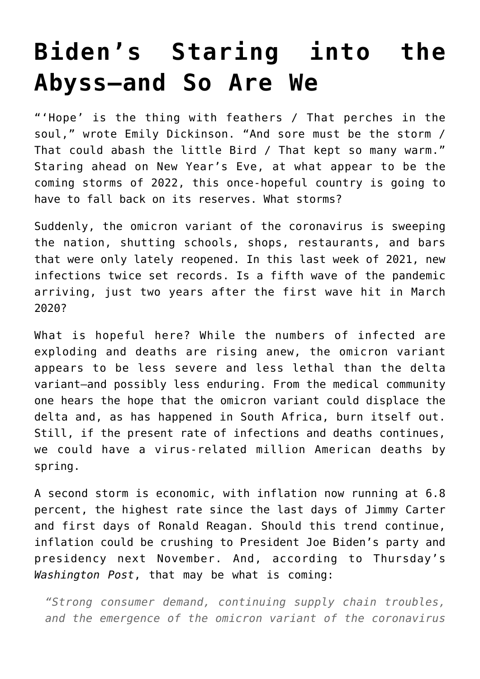## **[Biden's Staring into the](https://intellectualtakeout.org/2021/12/bidens-staring-into-the-abyss-and-so-are-we/) [Abyss—and So Are We](https://intellectualtakeout.org/2021/12/bidens-staring-into-the-abyss-and-so-are-we/)**

"'Hope' is the thing with feathers / That perches in the soul," wrote Emily Dickinson. "And sore must be the storm / That could abash the little Bird / That kept so many warm." Staring ahead on New Year's Eve, at what appear to be the coming storms of 2022, this once-hopeful country is going to have to fall back on its reserves. What storms?

Suddenly, the omicron variant of the coronavirus is sweeping the nation, shutting schools, shops, restaurants, and bars that were only lately reopened. In this last week of 2021, new infections twice set records. Is a fifth wave of the pandemic arriving, just two years after the first wave hit in March 2020?

What is hopeful here? While the numbers of infected are exploding and deaths are rising anew, the omicron variant appears to be less severe and less lethal than the delta variant—and possibly less enduring. From the medical community one hears the hope that the omicron variant could displace the delta and, as has happened in South Africa, burn itself out. Still, if the present rate of infections and deaths continues, we could have a virus-related million American deaths by spring.

A second storm is economic, with inflation now running at 6.8 percent, the highest rate since the last days of Jimmy Carter and first days of Ronald Reagan. Should this trend continue, inflation could be crushing to President Joe Biden's party and presidency next November. And, according to Thursday's *Washington Post*, that may be what is coming:

*"Strong consumer demand, continuing supply chain troubles, and the emergence of the omicron variant of the coronavirus*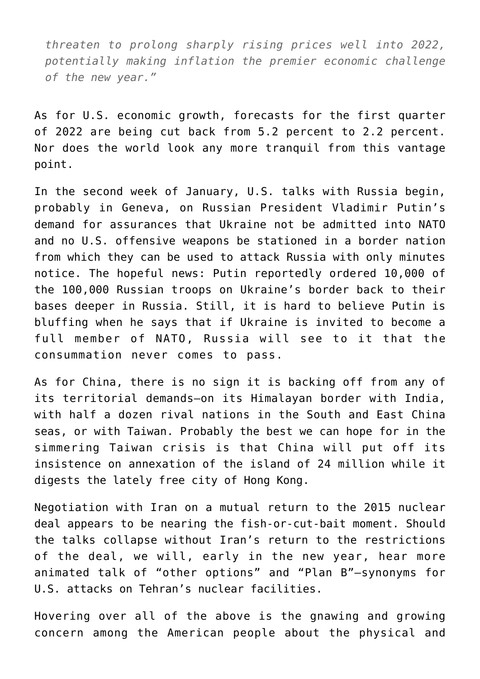*threaten to prolong sharply rising prices well into 2022, potentially making inflation the premier economic challenge of the new year."*

As for U.S. economic growth, forecasts for the first quarter of 2022 are being cut back from 5.2 percent to 2.2 percent. Nor does the world look any more tranquil from this vantage point.

In the second week of January, U.S. talks with Russia begin, probably in Geneva, on Russian President Vladimir Putin's demand for assurances that Ukraine not be admitted into NATO and no U.S. offensive weapons be stationed in a border nation from which they can be used to attack Russia with only minutes notice. The hopeful news: Putin reportedly ordered 10,000 of the 100,000 Russian troops on Ukraine's border back to their bases deeper in Russia. Still, it is hard to believe Putin is bluffing when he says that if Ukraine is invited to become a full member of NATO, Russia will see to it that the consummation never comes to pass.

As for China, there is no sign it is backing off from any of its territorial demands—on its Himalayan border with India, with half a dozen rival nations in the South and East China seas, or with Taiwan. Probably the best we can hope for in the simmering Taiwan crisis is that China will put off its insistence on annexation of the island of 24 million while it digests the lately free city of Hong Kong.

Negotiation with Iran on a mutual return to the 2015 nuclear deal appears to be nearing the fish-or-cut-bait moment. Should the talks collapse without Iran's return to the restrictions of the deal, we will, early in the new year, hear more animated talk of "other options" and "Plan B"—synonyms for U.S. attacks on Tehran's nuclear facilities.

Hovering over all of the above is the gnawing and growing concern among the American people about the physical and